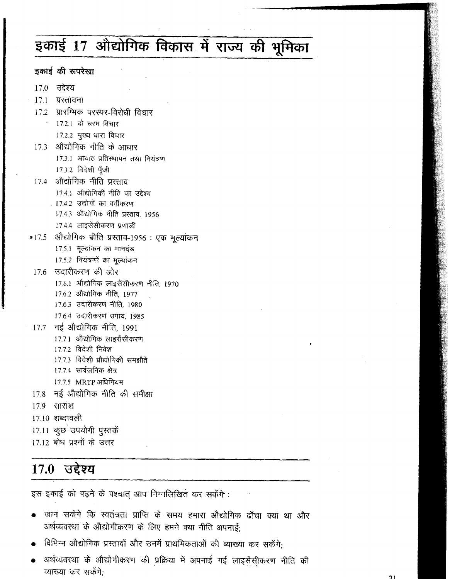# इकाई 17 औद्योगिक विकास में राज्य की भूमिका

|      | इकाई की रूपरेखा                                    |
|------|----------------------------------------------------|
|      | 17.0 उद्देश्य                                      |
|      | 17.1 प्रस्तावना                                    |
|      | 17.2 प्रारम्भिक परस्पर-विरोधी विचार                |
|      | · 17.2.1 दो चरम विचार                              |
|      | 17.2.2 मुख्य धारा विचार                            |
| 17.3 | औद्योगिक नीति के आधार                              |
|      | 17.3.1 आयात प्रतिस्थापन तथा नियंत्रण               |
|      | 17.3.2 विदेशी पूँजी                                |
|      | 17.4 - औद्योगिक नीति प्रस्ताव                      |
|      | 17.4.1 औद्योगिकी नीति का उद्देश्य                  |
|      | 17.4.2 उद्योगों का वर्गीकरण                        |
|      | 17.4.3 औद्योगिक नीति प्रस्ताव, 1956                |
|      | 17.4.4 लाइसेंसीकरण प्रणाली                         |
|      | ०17.5 - औद्योगिक चीति प्रस्ताव-1956 : एक मूल्यांकन |
|      | 17.5.1 मूल्यांकन का मानदंड                         |
|      | 17.5.2 नियंत्रणों का मूल्यांकन                     |
|      | 17.6 उदारीकरण की ओर                                |
|      | 17.6.1 औद्योगिक लाइसेंसीकरण नीति, 1970             |
|      | 17.6.2 औद्योगिक नीति, 1977                         |
|      | 17.6.3 उदारीकरण नीति, 1980                         |
|      | 17.6.4 उदारीकरण उपाय, 1985                         |
|      | 17.7 नई औद्योगिक नीति, 1991                        |
|      | 17.7.1 औद्योगिक लाइसेंसीकरण                        |
|      | 17.7.2 विदेशी निवेश                                |
|      | 17.7.3  विदेशी प्रौद्योगिकी समझौते                 |
|      | 17.7.4 सार्वजनिक क्षेत्र                           |
|      | 17.7.5 MRTP अधिनियम                                |
|      | 17.8 नई औद्योगिक नीति की समीक्षा                   |
|      | 17.9 सारांश                                        |
|      | 17.10 शब्दावली                                     |
|      | 17.11 कुछ उपयोगी पुस्तकें                          |
|      | 17.12 बोध प्रश्नों के उत्तर                        |
|      |                                                    |

## 17.0 उद्देश्य

इस इकाई को पढ़ने के पश्चात् आप निम्नलिखित कर सकेंगे:

- जान सकेंगे कि स्वतंत्रता प्राप्ति के समय हमारा औद्योगिक ढाँचा क्या था और अर्थव्यवस्था के औद्योगीकरण के लिए हमने क्या नीति अपनाई
- विभिन्न औद्योगिक प्रस्तावों और उनमें प्राथमिकताओं की व्याख्या कर सकेंगे;
- अर्थव्यवस्था के औद्योगीकरण की प्रक्रिया में अपनाई गई लाइसेंसी़करण नीति की व्याख्या कर सकेंगे;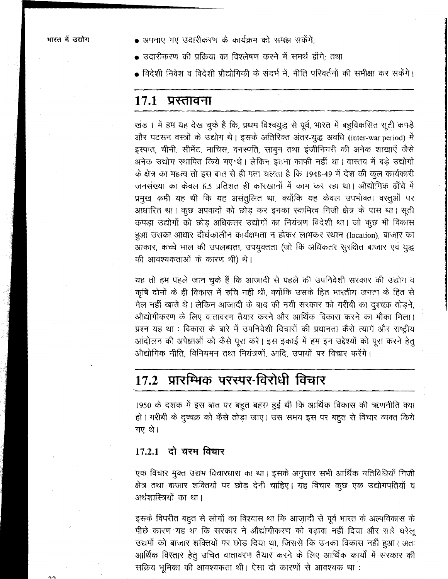$\bullet$  अपनाए गए उदारीकरण के कार्यक्रम को समझ सकेंगे:

- उदारीकरण की प्रक्रिया का विश्लेषण करने में समर्थ होंगे: तथा
- विदेशी निवेश व विदेशी प्रौद्योगिकी के संदर्भ में, नीति परिवर्तनों की समीक्षा कर सकेंगे।

### 17.1 प्रस्तावना

खंड। में हम यह देख चुके हैं कि, प्रथम विश्वयुद्ध से पूर्व, भारत में बहुविकसित सूती कपड़े और पटसन वस्त्रों के उद्योग थे। इसके अतिरिक्त अंतर-युद्ध अवधि (inter-war period) में इस्पात, चीनी, सीमेंट, माचिस, वनस्पति, साबुन तथा इंजीनियरी की अनेक शाखाएँ जैसे अनेक उद्योग स्थापित किये गए थे। लेकिन इतना काफी नहीं था। वास्तव में बड़े उद्योगों के क्षेत्र का महत्व तो इस बात से ही पता चलता है कि 1948-49 में देश की कूल कार्यकारी जनसंख्या का केवल 6.5 प्रतिशत ही कारखानों में काम कर रहा था। औद्योगिक ढाँचे में प्रमुख कमी यह थी कि यह असंतुलित था, क्योंकि यह केवल उपभोक्ता वस्तुओं पर आधारित था। कुछ अपवादों को छोड़ कर इनका स्वामित्व निजी क्षेत्र के पास था। सूती कपड़ा उद्योगों को छोड़ अधिकतर उद्योगों का नियंत्रण विदेशी था। जो कुछ भी विकास हुआ उसका आधार दीर्घकालीन कार्यक्षमता न होकर लाभकर स्थान (location), बाजार का आकार, कच्चे माल की उपलब्धता, उपयुक्तता (जो कि अधिकतर सुरक्षित बाजार एवं युद्ध की आवश्यकताओं के कारण थी) थे।

यह तो हम पहले जान चुके हैं कि आजादी से पहले की उपनिवेशी सरकार की उद्योग व कृषि दोनों के ही विकास में रुचि नहीं थी, क्योंकि उसके हित भारतीय जनता के हित से मेल नहीं खाते थे। लेकिन आजादी के बाद की नयी सरकार को गरीबी का दृश्चक्र तोड़ने, औद्योगीकरण के लिए वातावरण तैयार करने और आर्थिक विकास करने का मौका मिला। प्रश्न यह था : विकास के बारे में उपनिवेशी विचारों की प्रधानता कैसे त्यागें और राष्ट्रीय आंदोलन की अपेक्षाओं को कैसे पूरा करें। इस इकाई में हम इन उद्देश्यों को पूरा करने हेतू औद्योगिक नीति, विनियमन तथा नियंत्रणों, आदि, उपायों पर विचार करेंगे।

## 17.2 प्रारम्भिक परस्पर-विरोधी विचार

1950 के दशक में इस बात पर बहुत बहस हुई थी कि आर्थिक विकास की ऋणनीति क्या हो। गरीबी के दुष्वक्र को कैसे तोड़ा जाए। उस समय इस पर बहुत से विचार व्यक्त किये गए थे।

#### 17.2.1 दो चरम विचार

एक विचार मुक्त उद्यम विचारधारा का था। इसके अनुसार सभी आर्थिक गतिविधियाँ निजी क्षेत्र तथा बाजार शक्तियों पर छोड़ देनी चाहिए। यह विचार कुछ एक उद्योगपतियों व अर्थशास्त्रियों का था।

इसके विपरीत बहुत से लोगों का विश्वास था कि आज़ादी से पूर्व भारत के अल्पविकास के पीछे कारण यह था कि सरकार ने औद्योगीकरण को बढ़ावा नहीं दिया और सारे घरेलू उद्यमों को बाजार शक्तियों पर छोड़ दिया था, जिससे कि उनका विकास नहीं हुआ। अतः आर्थिक विस्तार हेतू उचित वातावरण तैयार करने के लिए आर्थिक कार्यों में सरकार की सक्रिय भूमिका की आवश्यकता थी। ऐसा दो कारणों से आवश्यक था: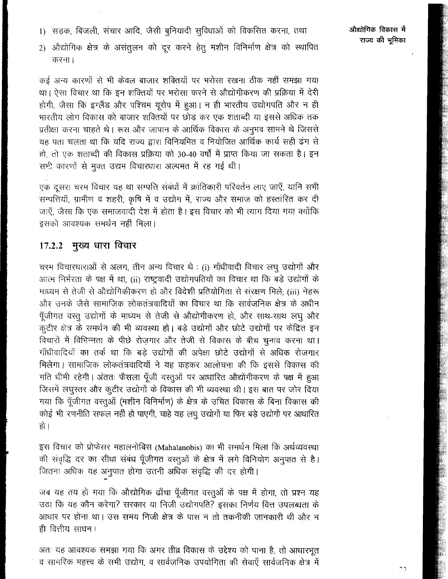औद्योगिक विकास में राज्य की भुमिका

1) सड़क, बिजली, संचार आदि, जैसी बुनियादी सुविधाओं को विकसित करना, तथा

2) औद्योगिक क्षेत्र के असंतुलन को दूर करने हेतु मशीन विनिर्माण क्षेत्र को स्थापित करना।

कई अन्य कारणों से भी केवल बाजार शक्तियों पर भरोसा रखना ठीक नहीं समझा गया था। ऐसा विचार था कि इन शक्तियों पर भरोसा करने से औद्योगीकरण की प्रक्रिया में देरी होगी, जैसा कि इंग्लैंड और पश्चिम यूरोप में हुआ। न ही भारतीय उद्योगपति और न ही भारतीय लोग विकास को बाजार शक्तियों पर छोड़ कर एक शताब्दी या इससे अधिक तक प्रतीक्षा करना चाहते थे। रूस और जापान के आर्थिक विकास के अनुभव सामने थे जिससे यह पता चलता था कि यदि राज्य द्वारा विनियमित व नियोजित आर्थिक कार्य सही ढंग से हो, तो एक शताब्दी की विकास प्रक्रिया को 30-40 वर्षों में प्राप्त किया जा सकता है। इन सभी कारणों से मुक्त उद्यम विचारधारा अल्पमत में रह गई थी।

एक दूसरा चरम विचार यह था सम्पत्ति संबंधों में क्रांतिकारी परिवर्तन लाए जाएँ, यानि सभी .<br>सम्पत्तियाँ, ग्रामीण व शहरी, कृषि में व उद्योग में, राज्य और समाज को हस्तांरित कर दी जाएँ, जैसा कि एक समाजवादी देश में होता है। इस विचार को भी त्याग दिया गया क्योंकि इसको आवश्यक समर्थन नहीं मिला।

#### मुख्य धारा विचार 17.2.2

चरम विचारधाराओं से अलग, तीन अन्य विचार थे : (i) गाँधीवादी विचार लघु उद्योगों और आत्म निर्भरता के पक्ष में था, (ii) राष्ट्रवादी उद्योगपतियों का विचार था कि बड़े उद्योगों के माध्यम से तेजी से औद्योगिकीकरण हो और विदेशी प्रतियोगिता से संरक्षण मिले; (iii) नेहरू और उनके जैसे सामाजिक लोकतंत्रवादियों का विचार था कि सार्वजनिक क्षेत्र के अधीन पूँजीगत वस्तु उद्योगों के माध्यम से तेजी से औद्योगीकरण हो, और साथ-साथ लघु और कुटीर क्षेत्र के समर्थन की भी व्यवस्था हो। बड़े उद्योगों और छोटे उद्योगों पर केंद्रित इन विचारों में विभिन्नता के पीछे रोज़गार और तेजी से विकास के बीच चुनाव करना था। गाँधीवादियों का तर्क था कि बड़े उद्योगों की अपेक्षा छोटे उद्योगों से अधिक रोजगार मिलेगा। सामाजिक लोकतंत्रवादियों ने यह कहकर आलोचना की कि इससे विकास की गति धीमी रहेगी। अंततः फैसला पूँजी वस्तुओं पर आधारित औद्योगीकरण के पक्ष में हुआ जिसमें लघुस्तर और कुटीर उद्योगों के विकास की भी व्यवस्था थी। इस बात पर जोर दिया गया कि पूँजीगत वस्तुओं (मशीन विनिर्माण) के क्षेत्र के उचित विकास के बिना विकास की कोई भी रणनीति सफल नहीं हो पाएगी, चाहे यह लघु उद्योगों या फिर बड़े उद्योगों पर आधारित हो।

इस विचार को प्रोफेसर महालनोबिस (Mahalanobis) का भी समर्थन मिला कि अर्थव्यवस्था की संवृद्धि दर का सीधा संबंध पूँजीगत वस्तुओं के क्षेत्र में लगे विनियोग अनुपात से है। जितना अधिक यह अनुपात होगा उतनी अधिक संवृद्धि की दर होगी।

जब यह तय हो गया कि औद्योगिक ढाँचा पूँजीगत वस्तुओं के पक्ष में होगा, तो प्रश्न यह उठा कि यह कौन करेगा? सरकार या निजी उद्योगपति? इसका निर्णय वित्त उपलब्धता के आधार पर होना था। उस समय निजी क्षेत्र के पास न तो तकनीकी जानकारी थी और न ही वित्तीय साधन।

अतः यह आवश्यक समझा गया कि अगर तीव्र विकास के उद्देश्य को पाना है, तो आधारभूत व सामरिक महत्त्व के सभी उद्योग, व सार्वजनिक उपयोगिता की सेवाएँ सार्वजनिक क्षेत्र में

 $\gamma$  3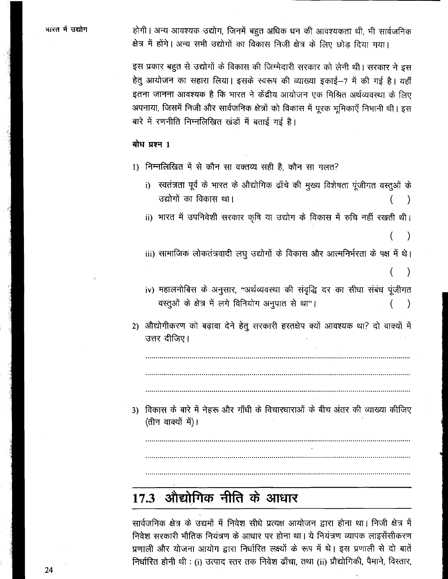होगी। अन्य आवश्यक उद्योग, जिनमें बहुत अधिक धन की आवश्यकता थी, भी सार्वजनिक क्षेत्र में होंगे। अन्य सभी उद्योगों का विकास निजी क्षेत्र के लिए छोड़ दिया गया।

इस प्रकार बहुत से उद्योगों के विकास की जिम्मेदारी सरकार को लेनी थी। सरकार ने इस हेतू आयोजन का सहारा लिया। इसके स्वरूप की व्याख्या इकाई-7 में की गई है। यहाँ इतना जानना आवश्यक है कि भारत ने केंद्रीय आयोजन एक मिश्रित अर्थव्यवस्था के लिए अपनाया, जिसमें निजी और सार्वजनिक क्षेत्रों को विकास में पुरक भूमिकाएँ निभानी थी। इस बारे में रणनीति निम्नलिखित खंडों में बताई गई है।

#### बोध प्रश्न 1

- 1) निम्नलिखित में से कौन सा वक्तव्य सही है, कौन सा गलत?
	- i) स्वतंत्रता पूर्व के भारत के औद्योगिक ढाँचे की मुख्य विशेषता पूंजीगत वस्तूओं के उद्योगों का विकास था।
	- ii) भारत में उपनिवेशी सरकार कृषि या उद्योग के विकास में रुचि नहीं रखती थी।

 $\lambda$ 

iii) सामाजिक लोकतंत्रवादी लघु उद्योगों के विकास और आत्मनिर्भरता के पक्ष में थे।

 $\mathcal{E}$ 

- iv) महालनोबिस के अनुसार, "अर्थव्यवस्था की संवृद्धि दर का सीधा संबंध पूंजीगत वस्तूओं के क्षेत्र में लगे विनियोग अनुपात से था"।  $\overline{(\ }$  $\lambda$
- 2) औद्योगीकरण को बढ़ावा देने हेतु सरकारी हस्तक्षेप क्यों आवश्यक था? दो वाक्यों में उत्तर दीजिए।

3) विकास के बारे में नेहरू और गाँधी के विचारधाराओं के बीच अंतर की व्याख्या कीजिए (तीन वाक्यों में)।

## 17.3 औद्योगिक नीति के आधार

सार्वजनिक क्षेत्र के उद्यमों में निवेश सीधे प्रत्यक्ष आयोजन द्वारा होना था। निजी क्षेत्र में निवेश सरकारी भौतिक नियंत्रण के आधार पर होना था। ये नियंत्रण व्यापक लाइसेंसीकरण प्रणाली और योजना आयोग द्वारा निर्धारित लक्ष्यों के रूप में थे। इस प्रणाली से दो बातें निर्धारित होनी थी : (i) उत्पाद स्तर तक निवेश ढाँचा, तथा (ii) प्रौद्योगिकी, पैमाने, विस्तार,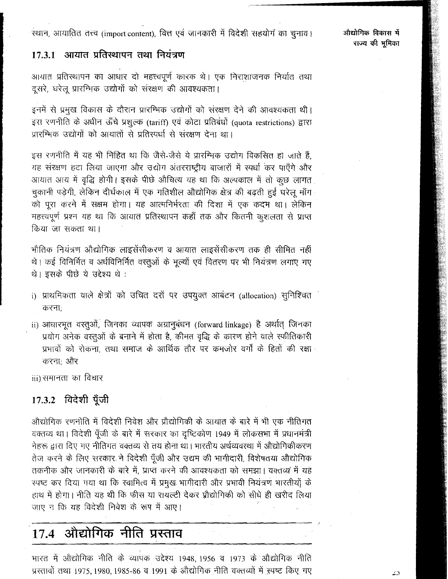#### आयात प्रतिस्थापन तथा नियंत्रण  $17.3.1$

आथात प्रतिस्थापन का आधार दो महत्त्वपूर्ण कारक थे। एक निराशाजनक निर्यात तथा दूसरे, घरेलू प्रारम्भिक उद्योगों को संरक्षण की आवश्यकता।

इनमें से प्रमुख विकास के दौरान प्रारम्भिक उद्योगों को संरक्षण देने की आवश्यकता थी। इस रणनीति के अधीन ऊँचे प्रशुल्क (tariff) एवं कोटा प्रतिबंधों (quota restrictions) द्वारा प्रारम्भिक उद्योगों को आयातों से प्रतिस्पर्धा से संरक्षण देना था।

इस रणनीति में यह भी निहित था कि जैसे-जैसे ये प्रारम्भिक उद्योग विकसित हो जाते हैं, यह संरक्षण हटा लिया जाएगा और उद्योग अंतरराष्ट्रीय बाजारों में स्पर्धा कर पाएँगे और आयात आय में वृद्धि होगी। इसके पीछे औचित्य यह था कि अल्पकाल में तो कूछ लागत चुकानी पड़ेगी, लेकिन दीर्घकाल में एक गतिशील औद्योगिक क्षेत्र की बढ़ती हुई घरेलू माँग को पूरा करने में सक्षम होगा। यह आत्मनिर्भरता की दिशा में एक कदम था। लेकिन महत्त्वपूर्ण प्रश्न यह था कि आयात प्रतिस्थापन कहाँ तक और कितनी कुशलता से प्राप्त किया जा सकता था।

भौतिक नियंत्रण औद्योगिक लाइसेंसीकरण व आयात लाइसेंसीकरण तक ही सीमित नहीं थे। कई विनिर्मित व अर्धविनिर्मित वस्तूओं के मूल्यों एवं वितरण पर भी नियंत्रण लगाए गए थे। इसके पीछे ये उद्देश्य थे :

- i) प्राथमिकता वाले क्षेत्रों को उचित दरों पर उपयुक्त आबंटन (allocation) सुनिश्चित करना:
- ii) आधारभूत वस्तुओं, जिनका व्यापक अग्रानुबंधन (forward linkage) है अर्थात् जिनका प्रयोग अनेक वस्तुओं के बनाने में होता है, कीमत वृद्धि के कारण होने वाले स्फीतिकारी प्रभावों को रोकना, तथा समाज के आर्थिक तौर पर कमजोर वर्गों के हितों की रक्षा करना: और

iii) समानता का विचार

### 17.3.2 विदेशी पूँजी

ओद्योगिक रणनोति में विदेशी निवेश और प्रौद्योगिकी के आयात के बारे में भी एक नीतिगत वक्तव्य था। विदेशी पूँजी के बारे में सरकार का दृष्टिकोण 1949 में लोकसभा में प्रधानमंत्री नेहरू द्वारा दिए गए नीतिगत वक्तव्य से तय होना था। भारतीय अर्थव्यवस्था में औद्योगिकीकरण तेज करने के लिए सरकार ने विदेशी पूँजी और उद्यम की भागीदारी, विशेषतया औद्योगिक तकनीक और जानकारी के बारे में, प्राप्त करने की आवश्यकता को समझा। वक्तव्य में यह स्पष्ट कर दिया गया था कि स्वामित्व में प्रमुख भागीदारी और प्रभावी नियंत्रण भारतीयों के हाथ में होगा। नीति यह थी कि फीस या रायल्टी देकर प्रौद्योगिकी को सीधे ही खरीद लिया जाए न कि यह विदेशी निवेश के रूप में आए।

## 17.4 औद्योगिक नीति प्रस्ताव

भारत में औद्योगिक नीति के व्यापक उद्देश्य 1948, 1956 व 1973 के औद्योगिक नीति प्रस्तावों तथा 1975, 1980, 1985-86 व 1991 के औद्योगिक नीति वक्तव्यों में स्पष्ट किए गए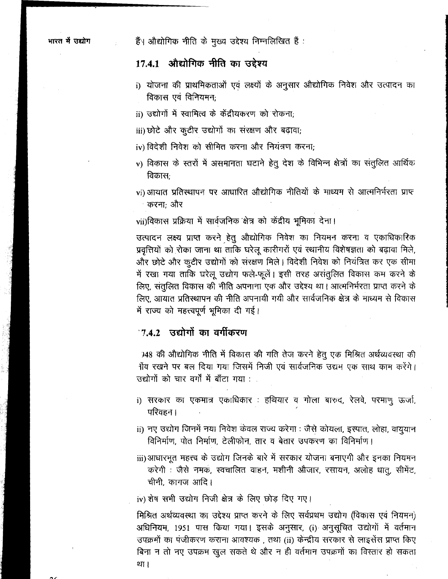हैं। औद्योगिक नीति के मुख्य उद्देश्य निम्नलिखित हैं:

### 17.4.1 औद्योगिक नीति का उद्देश्य

- i) योजना की प्राथमिकताओं एवं लक्ष्यों के अनुसार औद्योगिक निवेश और उत्पादन का विकास एवं विनियमन:
- ii) उद्योगों में स्वामित्व के केंद्रीयकरण को रोकना;
- iii) छोटे और कुटीर उद्योगों का संरक्षण और बढ़ावा;
- iv) विदेशी निवेश को सीमित करना और नियंत्रण करना:
- v) विकास के स्तरों में असमानता घटाने हेतू देश के विभिन्न क्षेत्रों का संतुलित आर्थिक विकास:
- vi) आयात प्रतिस्थापन पर आधारित औद्योगिक नीतियों के माध्यम से आत्मनिर्भरता प्राप्त करना: और

vii)विकास प्रक्रिया में सार्वजनिक क्षेत्र को केंद्रीय भूमिका देना।

उत्पादन लक्ष्य प्राप्त करने हेतू औद्योगिक निवेश का नियमन करना व एकाधिकारिक प्रवृत्तियों को रोका जाना था ताकि घरेलू कारीगरों एवं स्थानीय विशेषज्ञता को बढ़ावा मिले, और छोटे और कुटीर उद्योगों को संरक्षण मिले। विदेशी निवेश को नियंत्रित कर एक सीमा में रखा गया ताकि घरेलू उद्योग फले-फूलें। इसी तरह असंतुलित विकास कम करने के लिए, संतुलित विकास की नीति अपनाना एक और उद्देश्य था। आत्मनिर्भरता प्राप्त करने के लिए, आयात प्रतिस्थापन की नीति अपनायी गयी और सार्वजनिक क्षेत्र के माध्यम से विकास में राज्य को महत्त्वपूर्ण भूमिका दी गई।

#### 7.4.2 उद्योगों का वर्गीकरण

948 की औद्योगिक नीति में विकास की गति तेज करने हेतु एक मिश्रित अर्थव्यवस्था की 1ाँव रखने पर बल दिया गया जिसमें निजी एवं सार्वजनिक उद्यम एक साथ काम करेंगे। उद्योगों को चार वर्गों में बाँटा गया :

- i) सरकार का एकमात्र एकाधिकार : हथियार व गोला बारुद, रेलवे, परमाणु ऊर्जा, परिवहन ।
- ii) नए उद्योग जिनमें नया निवेश केवल राज्य करेगा : जैसे कोयला, इस्पात, लोहा, वायुयान विनिर्माण, पोत निर्माण, टेलीफोन, तार व बेतार उपकरण का विनिर्माण।
- iii)आधारभूत महत्त्व के उद्योग जिनके बारे में सरकार योजना बनाएगी और इनका नियमन करेगी : जैसे नमक, स्वचालित वाहन, मशीनी औजार, रसायन, अलोह धातू, सीमेंट, चीनी, कागज आदि।

iv) शेष सभी उद्योग निजी क्षेत्र के लिए छोड़ दिए गए।

मिश्रित अर्थव्यवस्था का उद्देश्य प्राप्त करने के लिए सर्वप्रथम उद्योग (विकास एवं नियमन) अधिनियम, 1951 पास किया गया। इसके अनुसार, (i) अनुसूचित उद्योगों में वर्तमान उपक्रमों का पंजीकरण कराना आवश्यक, तथा (ii) केन्द्रीय सरकार से लाइसेंस प्राप्त किए बिना न तो नए उपक्रम खुल सकते थे और न ही वर्तमान उपक्रमों का विस्तार हो सकता था ।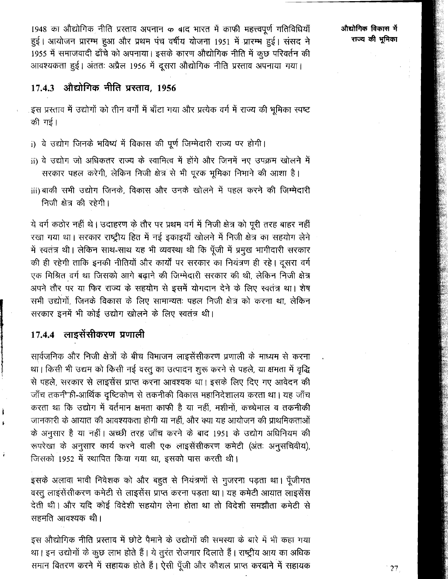1948 का औद्योगिक नीति प्रस्ताव अपनान क बाद भारत में काफी महत्त्वपूर्ण गतिविधियाँ हुई। आयोजन प्रारम्भ हुआ और प्रथम पंच वर्षीय योजना 1951 में प्रारम्भ हुई। संसद ने 1955 में समाजवादी ढाँचे को अपनाया। इसके कारण औद्योगिक नीति में कुछ परिवर्तन की आवश्यकता हुई। अंततः अप्रैल 1956 में दूसरा औद्योगिक नीति प्रस्ताव अपनाया गया।

### 17.4.3 औद्योगिक नीति प्रस्ताव, 1956

इस प्रस्ताव में उद्योगों को तीन वर्गों में बाँटा गया और प्रत्येक वर्ग में राज्य की भूमिका स्पष्ट की गई।

- i) वे उद्योग जिनके भविष्य में विकास की पूर्ण जिम्मेदारी राज्य पर होगी।
- ii) वे उद्योग जो अधिकतर राज्य के स्वामित्व में होंगे और जिनमें नए उपक्रम खोलने में सरकार पहल करेगी, लेकिन निजी क्षेत्र से भी पूरक भूमिका निभाने की आशा है।
- iii) बाकी सभी उद्योग जिनके, विकास और उनके खोलने में पहल करने की जिम्मेदारी निजी क्षेत्र की रहेगी।

ये वर्ग कठोर नहीं थे। उदाहरण के तौर पर प्रथम वर्ग में निजी क्षेत्र को पूरी तरह बाहर नहीं रखा गया था। सरकार राष्ट्रीय हित में नई इकाइयाँ खोलने में निज़ी क्षेत्र का सहयोग लेने में स्वतंत्र थी। लेकिन साथ-साथ यह भी व्यवस्था थी कि पूँजी में प्रमुख भागीदारी सरकार की ही रहेगी ताकि इनकी नीतियों और कार्यों पर सरकार का नियंत्रण ही रहे। दूसरा वर्ग एक मिश्रित वर्ग था जिसको आगे बढ़ाने की जिम्मेदारी सरकार की थी, लेकिन निजी क्षेत्र अपने तौर पर या फिर राज्य के सहयोग से इसमें योगदान देने के लिए स्वतंत्र था। शेष सभी उद्योगों, जिनके विकास के लिए सामान्यतः पहल निजी क्षेत्र को करना था, लेकिन सरकार इनमें भी कोई उद्योग खोलने के लिए स्वतंत्र थी।

### 17.4.4 लाइसेंसीकरण प्रणाली

सार्वजनिक और निजी क्षेत्रों के बीच विभाजन लाइसेंसीकरण प्रणाली के माध्यम से करना था। किसी भी उद्यम को किसी नई वस्तू का उत्पादन शुरू करने से पहले, या क्षमता में वृद्धि से पहले, सरकार से लाइसेंस प्राप्त करना आवश्यक था। इसके लिए दिए गए आवेदन की जाँच तकनी ही-आर्थिक दृष्टिकोण से तकनीकी विकास महानिदेशालय करता था। यह जाँच करता था कि उद्योग में वर्तमान क्षमता काफी है या नहीं, मशीनों, कच्चेमाल व तकनीकी जानकारी के आयात की आवश्यकता होगी या नहीं, और क्या यह आयोजन की प्राथमिकताओं के अनुसार है या नहीं। अच्छी तरह जाँच करने के बाद 1951 के उद्योग अधिनियम की रूपरेखा के अनुसार कार्य करने वाली एक लाइसेंसीकरण कमेटी (अंतः अनुसचिवीय), जिसको 1952 में स्थापित किया गया था, इसको पास करती थी।

इसके अलावा भावी निवेशक को और बहुत से नियंत्रणों से गुजरना पड़ता था। पूँजीगत वस्तु लाइसेंसीकरण कमेटी से लाइसेंस प्राप्त करना पड़ता था। यह कमेटी आयात लाइसेंस देती थी। और यदि कोई विदेशी सहयोग लेना होता था तो विदेशी समझौता कमेटी से सहमति आवश्यक थी।

इस औद्योगिक नीति प्रस्ताव में छोटे पैमाने के उद्योगों की समस्या के बारे में भी कहा गया था। इन उद्योगों के कुछ लाभ होते हैं। ये तुरंत रोजगार दिलाते हैं। राष्ट्रीय आय का अधिक समान वितरण करने में सहायक होते हैं। ऐसी पूँजी और कौशल प्राप्त करवाने में सहायक

औद्योगिक विकास में राज्य की भूमिका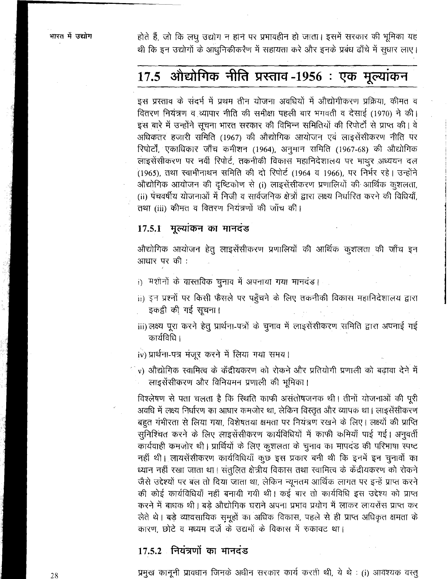होते हैं, जो कि लघु उद्योग न होने पर प्रभावहीन हो जाता। इसमें सरकार की भूमिका यह थी कि इन उद्योगों के आधुनिकीकरेंण में सहायता करे और इनके प्रबंध ढाँचे में सुधार लाए।

## 17.5 औद्योगिक नीति प्रस्ताव -1956 : एक मूल्यांकन

इस प्रस्ताव के संदर्भ में प्रथम तीन योजना अवधियों में औद्योगीकरण प्रक्रिया, कीमत व वितरण नियंत्रण व व्यापार नीति की समीक्षा पहली बार भगवती व देसाई (1970) ने की। इस बारे में उन्होंने सूचना भारत सरकार की विभिन्न समितियों की रिपोर्टों से प्राप्त की। वे अधिकतर हजारी समिति (1967) की औद्योगिक आयोजन एवं लाइसेंसीकरण नीति पर रिपोर्टों, एकाधिकार जाँच कमीशन (1964), अनुमान समिति (1967-68) की औद्योगिक लाइसेंसीकरण पर नवीं रिपोर्ट, तकनीकी विकास महानिदेशालय पर माथुर अध्ययन दल (1965), तथा स्वामीनाथन समिति की दो रिपोर्ट (1964 व 1966), पर निर्भर रहे। उन्होंने औद्योगिक आयोजन की दृष्टिकोण से (i) लाइसेंसीकरण प्रणालियों की आर्थिक कुशलता, (ii) पंचवर्षीय योजनाओं में निजी व सार्वजनिक क्षेत्रों द्वारा लक्ष्य निर्धारित करने की विधियाँ, तथा (iii) कीमत व वितरण नियंत्रणों की जाँच की।

#### 17.5.1 मूल्यांकन का मानदंड

औद्योगिक आयोजन हेतु लाइसेंसीकरण प्रणालियों की आर्थिक कुशलता की जाँच इन आधार पर की :

- i) मशीनों के वास्तविक चुनाव में अपनाया गया मानदंड।
- ii) इन प्रश्नों पर किसी फैसले पर पहुँचने के लिए तकनीकी विकास महानिदेशालय द्वारा इकड़ी की गई सूचना।
- iii) लक्ष्य पूरा करने हेतु प्रार्थना-पत्रों के चुनाव में लाइसेंसीकरण समिति द्वारा अपनाई गई कार्यविधि ।
- iv) प्रार्थना-पत्र मंजूर करने में लिया गया समय।
- ं v) औद्योगिक स्वामित्व के केंद्रीयकरण को रोकने और प्रतियोगी प्रणाली को बढ़ावा देने में लाइसेंसीकरण और विनियमन प्रणाली की भूमिका।

विश्लेषण से पता चलता है कि रिथति काफी असंतोषजनक थी। तीनों योजनाओं की पूरी अवधि में लक्ष्य निर्धारण का आधार कमजोर था, लेकिन विस्तृत और व्यापक था। लाइसेंसीकरण बहुत गंभीरता से लिया गया, विशेषतया क्षमता पर नियंत्रण रखने के लिए। लक्ष्यों की प्राप्ति सुनिश्चित करने के लिए लाइसेंसीकरण कार्यविधियों में काफी कमियाँ पाई गई। अनुवर्ती कार्यवाही कमजोर थी। प्रार्थियों के लिए कुशलता के चुनाव का मापदंड की परिभाषा स्पष्ट नहीं थी। लायसेंसीकरण कार्यविधियाँ कुछ इस प्रकार बनी थी कि इनमें इन चुनावों का ध्यान नहीं रखा जाता था। संतुलित क्षेत्रीय विकास तथा स्वामित्व के केंद्रीयकरण को रोकने जैसे उद्देश्यों पर बल तो दिया जाता था, लेकिन न्यूनतम आर्थिक लागत पर इन्हें प्राप्त करने की कोई कार्यविधियाँ नहीं बनायी गयी थी। कई बार तो कार्यविधि इस उद्देश्य को प्राप्त करने में बाधक थी। बड़े औद्योगिक घराने अपना प्रभाव प्रयोग में लाकर लायसेंस प्राप्त कर लेते थे। बड़े व्यावसायिक सुमूहों का अधिक विकास, पहले से ही प्राप्त अधिकृत क्षमता के कारण, छोटे व मध्यम दर्जे के उद्यमों के विकास में रुकावट था।

#### 17.5.2 नियंत्रणों का मानदंड

प्रमुख कानूनी प्रावधान जिनके अधीन सरकार कार्य करती थी, ये थे : (i) आवश्यक वस्तु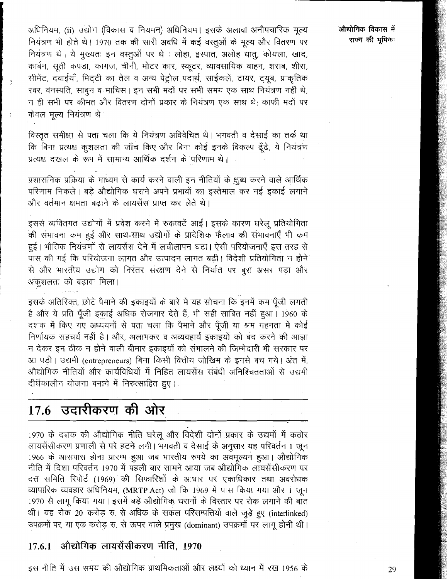अधिनियम, (ii) उद्योग (विकास व नियमन) अधिनियम। इसके अलावा अनौपचारिक मूल्य नियंत्रण भी होते थे। 1970 तक की सारी अवधि में कई वस्तुओं के मूल्य और वितरण पर नियंत्रण थे। ये मुख्यतः इन वस्तुओं पर थे : लोहा, इस्पात, अलोह धात्, कोयला, खाद, कार्बन, सूती कपड़ा, कागज, चीनी, मोटर कार, स्कूटर, व्यावसायिक वाहन, शराब, शीरा, सीमेंट, दवाईयाँ, मिट्टी का तेल व अन्य पेट्रोल पदार्थ, साईकलें, टायर, ट्यूब, प्राकृतिक रबर, वनस्पति, साबन व माघिस। इन सभी मदों पर सभी समय एक साथ नियंत्रण नहीं थे, न ही सभी पर कीमत और वितरण दोनों प्रकार के नियंत्रण एक साथ थे: काफी मदों पर केवल मूल्य नियंत्रण थे।

विस्तृत समीक्षा से पता चला कि ये नियंत्रण अविवेचित थे। भगवती व देसाई का तर्क था कि बिना प्रत्यक्ष कुशलता की जाँच किए और बिना कोई इनके विकल्प ढूँढे, ये नियंत्रण प्रत्यक्ष दखल के रूप में सामान्य आर्थिक दर्शन के परिणाम थे।

प्रशासनिक प्रक्रिया के माध्यम से कार्य करने वाली इन नीतियों के क्षुब्ध करने वाले आर्थिक परिणाम निकले। बड़े औद्योगिक घराने अपने प्रभावों का इस्तेमाल कर नई इकाई लगाने और वर्तमान क्षमता बढाने के लायसेंस प्राप्त कर लेते थे।

इससे व्यक्तिगत उद्योगों में प्रवेश करने में रुकावटें आईं। इसके कारण घरेलू प्रतियोगिता की संभावना कम हुई और साथ-साथ उद्योगों के प्रादेशिक फैलाव की संभावनाएँ भी कम हुई। भौतिक नियंत्रणों से लायसेंस देने में लचीलापन घटा। ऐसी परियोजनाएँ इस तरह से पास की गई कि परियोजना लागत और उत्पादन लागत बढी। विदेशी प्रतियोगिता न होने से और भारतीय उद्योग को निरंतर संरक्षण देने से निर्यात पर बूरा असर पड़ा और अकुशलता को बढ़ावा मिला।

इसके अतिरिक्त, छोटे पैमाने की इकाइयों के बारे में यह सोचना कि इनमें कम पूँजी लगती है और ये प्रति पूँजी इकाई अधिक रोजगार देते हैं, भी सही साबित नहीं हुआ। 1960 के दशक में किए गए अध्ययनों से पता चला कि पैमाने और पूँजी या श्रम गहनता में कोई निर्णायक सहचर्य नहीं है। और, अलाभकर व अव्यवहार्य इकाइयों को बंद करने की आज्ञा न देकर इन ठीक न होने वाली बीमार इकाइयों को संभालने की जिम्मेदारी भी सरकार पर आ पड़ी। उद्यमी (entrepreneurs) बिना किसी वित्तीय जोखिम के इनसे बच गये। अंत में, औद्योगिक नीतियों और कार्यविधियों में निहित लायसेंस संबंधी अनिश्चितताओं से उद्यमी दीर्घकालीन योजना बनाने में निरुत्साहित हुए।

## 17.6 उदारीकरण की ओर

1970 के दशक की औद्योगिक नीति घरेलू और विदेशी दोनों प्रकार के उद्यमों में कठोर लायसेंसीकरण प्रणाली से परे हटने लगी। भगवती व देसाई के अनुसार यह परिवर्तन 1 जून 1966 के आसपास होना प्रारम्भ हुआ जब भारतीय रुपये का अवमूल्यन हुआ। औद्योगिक नीति में दिशा परिवर्तन 1970 में पहली बार सामने आया जब औद्योगिक लायसेंसीकरण पर दत्त समिति रिपोर्ट (1969) की सिफारिशों के आधार पर एकाधिकार तथा अवरोधक व्यापारिक व्यवहार अधिनियम, (MRTP Act) जो कि 1969 में पास किया गया और 1 जून 1970 से लागू किया गया। इसमें बड़े औद्योगिक घरानों के विस्तार पर रोक लगाने की बात थी। यह रोक 20 करोड़ रु. से अधिक के सर्कल परिसम्पत्तियों वाले जुड़े हुए (interlinked) उपक्रमों पर, या एक करोड़ रु. से ऊपर वाले प्रमुख (dominant) उपक्रमों पर लागू होनी थी।

#### औद्योगिक लायसेंसीकरण नीति, 1970 17.6.1

इस नीति में उस समय की औद्योगिक प्राथमिकताओं और लक्ष्यों को ध्यान में रख 1956 के

.<br>औद्योगिक विकास में राज्य की भूमिक:

29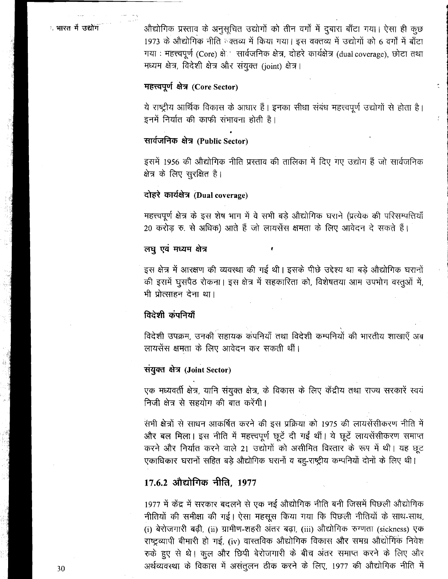$\frac{1}{2}$ 

<sup>1</sup> भारत में उद्योग कि अभियोगिक प्रस्ताव के अनुसूचित उद्योगों को तीन वर्गों में दुबारा बाँटा गया। ऐसा ही कुछ 1973 के ओद्योगिक नीति ब्क्तव्य में किया गया। इस वक्तव्य में उद्योगों को 6 वर्गों में बाँटा गया: महत्त्वपूर्ण (Core) क्षे**ं सार्वजनिक क्षेत्र, दोहरे कार्यक्षेत्र** (dual coverage), छोटा तथा h, f%-\$ h **4< 347~~ (joint)** & **<sup>I</sup>**

#### **महत्त्वपूर्ण क्षेत्र (Core Sector)**

ये राष्ट्रीय आर्थिक विकास के आधार हैं। इनका सीधा संबंध महत्त्वपूर्ण उद्योगों से होता है।<br>इनमें निर्यात की काफी संभावना होती है।

### सार्वजनिक क्षेत्र (Public Sector)

इसमें 1956 की औद्योगिक नीति प्रस्ताव की तालिका में दिए गए उद्योग हैं जो सार्वजनिक क्षेत्र के लिए सुरक्षित है।

### **दोहरे कार्यक्षेत्र (Dual coverage)**

महत्त्वपूर्ण क्षेत्र के इस शेष भाग में वे सभी बड़े औद्योगिक घराने (प्रत्येक की परिसम्पत्तियाँ 20 करोड़ रु. से अधिक) आते हैं जो लायसेंस क्षमता के लिए आवेदन दे सकते हैं।

#### लघु एवं मध्यम क्षेत्र

इस क्षेत्र में आरक्षण की व्यवस्था की गई थी। इसके पीछे उद्देश्य था बड़े औद्योगिक घरानों की इसमें घुसपैठ रोकना। इस क्षेत्र में सहकारिता को, विशेषतया आम उपभोग वस्तूओं में, भी प्रोत्साहन देना था।

#### विदेशी कंपनियाँ

विदेशी उपक्रम, उनकी सहायक कंपनियाँ तथा विदेशी कम्पनियों की भारतीय शाखाएँ अब लायसेंस क्षमता के लिए आवेदन कर सकती थीं।

#### **FkJRi** &f **(Joint Sector)**

एक मध्यवर्ती क्षेत्र, यानि संयुक्त क्षेत्र, के विकास के लिए केंद्रीय तथा राज्य सरकारें स्वयं निजी क्षेत्र से सहयोग की बात करेंगी।

सभी क्षेत्रों से साधन आकर्षित करने की इस प्रक्रिया को 1975 की लायसेंसीकरण नीति में और बल मिला। इस नीति में महत्त्वपूर्ण छूटें दी गईं थीं। ये छूटें लायसेंसीकरण समाप्त करने और निर्यात करने वाले 21 उद्योगों को असीमित विस्तार के रूप में थी। यह छूट एकाधिकार घरानों सहित बड़े औद्योगिक घरानों व बहु-राष्ट्रीय कम्पनियों दोनों के लिए थी।

### 17.6.2 औद्योगिक नीति, 1977

1977 में केंद्र में सरकार बदलने से एक नई औद्योगिक नीति बनी जिसमें पिछली औद्योगिक नीतियों की समीक्षा की गई। ऐसा महसूस किया गया कि पिछली नीतियों के साथ-साथ, **(i)** &hT8 &, **(ii)** ?dPT-& *3kR* m, **(iii)** 3?t&%b TTCTl **(sickness)** lp राष्ट्रव्यापी बीमारी हो गई, (iv) वास्तविक औद्योगिक विकास और समग्र औद्योगिक निवेश रुके हुए से थे। कुल और छिपी बेरोजगारी के बीच अंतर समाप्त करने के लिए और अर्थव्यवस्था के विकास में असंतुलन ठीक करने के लिए, 1977 की औद्योगिक नीति में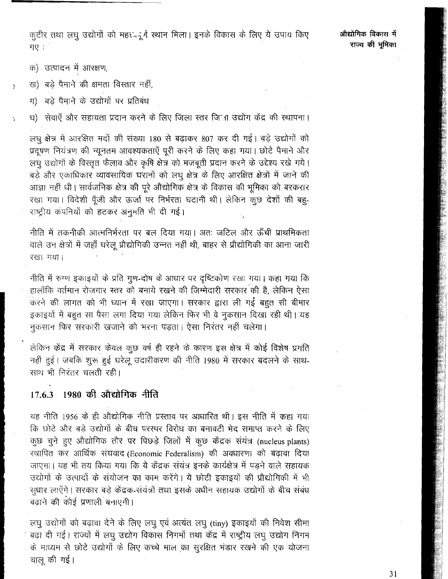कुटीर तथा लघु उद्योगों को महऱद्भूर्ग स्थान मिला। इनके विकास के लिए ये उपाय किए गए $\,$ ं

- क) उत्पादन में आरक्षण,
- ख) बड़े पैमाने की क्षमता विस्तार नहीं,
	- ग) बड़े पैमाने के उद्योगों पर प्रतिबंध

घ) सेवाएँ और सहायता प्रदान करने के लिए जिला स्तर जिला उद्योग केंद्र की स्थापना।

लघु क्षेत्र में आरक्षित मदों की संख्या 180 से बढ़ाकर 807 कर दी गई। बड़े उद्योगों को प्रदूषण नियंत्रण की न्यूनतम आवश्यकताएँ पूरी करने के लिए कहा गया। छोटे पैमाने और लघु उद्योगों के विस्तृत फैलाव और कृषि क्षेत्र को मजबूती प्रदान करने के उद्देश्य रखे गये। बड़े और एकाधिकार व्यावसायिक घरानों को लघु क्षेत्र के लिए आरक्षित क्षेत्रों में जाने की आज्ञा नहीं धी। सार्वजनिक क्षेत्र की पूरे औद्योगिक क्षेत्र के विकास की भूमिका को बरकरार रखा गया। विदेशी पूँजी और ऊर्जा पर निर्भरता घटानी थी। लेकिन कुछ देशों की बहु-राष्ट्रीय कंपनियों को हटकर अनुमति भी दी गई।

नीति में तकनीकी आत्मनिर्भरता पर बल दिया गया। अतः जटिल और ऊँची प्राथमिकता वाले उन क्षेत्रों में जहाँ घरेलू प्रौद्योगिकी उन्नत नहीं थी, बाहर से प्रौद्योगिकी का आना जारी रखा गया।

नीति में रुग्ण इकाइयों के प्रति गुण-दोष के आधार पर दृष्टिकोण रखा गया। कहा गया कि हालाँकि वर्तमान रोजगार स्तर को बनाये रखने की जिम्मेदारी सरकार की है, लेकिन ऐसा .<br>करने की लागत को भी ध्यान में रखा जाएगा। सरकार द्वारा ली गई बहुत सी बीमार इकाइयों में बहुत सा पैसा लगा दिया गया लेकिन फिर भी वे नुकसान दिखा रही थी। यह नुकसान फिर सरकारी खजाने को भरना पड़ता। ऐसा निरंतर नहीं चलेगा।

लेकिन केंद्र में सरकार केवल कुछ वर्ष ही रहने के कारण इस क्षेत्र में कोई विशेष प्रगति नहीं हुई। जबकि शुरू हुई घरेलू उदारीकरण की नीति 1980 में सरकार बदलने के साथ-साथ भी निरंतर चलती रही।

#### - 1980 की औद्योगिक नीति 17.6.3

यह नीति 1956 के ही औद्योगिक नीति प्रस्ताव पर आधारित थी। इस नीति में कहा गया कि छोटे और बड़े उद्योगों के बीच परस्पर विरोध का बनावटी भेद समाप्त करने के लिए कुछ चुने हुए औद्योगिक तौर पर पिछड़े जिलों में कुछ केंद्रक संयंत्र (nucleus plants) स्थापित कर आर्थिक संघवाद (Economic Federalism) की अवधारणा को बढ़ावा दिया जाएगा। यह भी तय किया गया कि ये केंद्रक संयंत्र इनके कार्यक्षेत्र में पड़ने वाले सहायक उद्योगों के उत्पादों के संयोजन का काम करेंगे। ये छोटी इकाइयों की प्रौद्योगिकी में भी सुधार लाएँगे। सरकार बड़े केंद्रक-संयंत्रों तथा इसके अधीन सहायक उद्योगों के बीच संबंध बढ़ाने की कोई प्रणाली बनाएगी।

लघु उद्योगों को बढ़ावा देने के लिए लघु एवं अत्यंत लघु (tiny) इकाइयों की निवेश सीमा बढ़ा दी गई। राज्यों में लघु उद्योग विकास निगमों तथा केंद्र में राष्ट्रीय लघु उद्योग निगम के माध्यम से छोटे उद्योगों के लिए कच्चे माल का सुरक्षित भंडार रखने की एक योजना चालू की गई।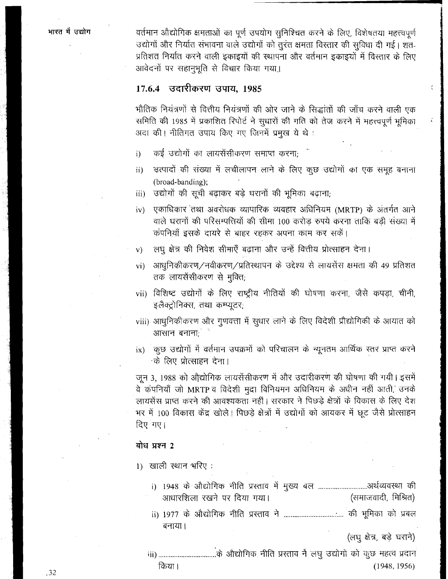वर्तमान औद्योगिक क्षमताओं का पूर्ण उपयोग सुनिश्चित करने के लिए, विशेषतया महत्त्वपूर्ण उद्योगों और निर्यात संभावना वाले उद्योगों को तुरंत क्षमता विस्तार की सुविधा दी गई। शत-प्रतिशत निर्यात करने वाली इकाइयों की स्थापना और वर्तमान इकाइयों में विस्तार के लिए आवेदनों पर सहानभूति से विचार किया गया।

#### 17.6.4 उदारीकरण उपाय. 1985

भौतिक नियंत्रणों से वित्तीय नियंत्रणों की ओर जाने के सिद्धांतों की जाँच करने वाली एक समिति की 1985 में प्रकाशित रिपोर्ट ने सुधारों की गति को तेज करने में महत्त्वपूर्ण भूमिका अदा की। नीतिगत उपाय किए गए जिनमें प्रमुख ये थे:

- कई उद्योगों का लायसेंसीकरण समाप्त करना;  $i)$
- उत्पादों की संख्या में लचीलापन लाने के लिए कुछ उद्योगों का एक समूह बनाना ii) (broad-banding);
- उद्योगों की सूची बढ़ाकर बड़े घरानों की भूमिका बढ़ाना; iii)
- एकाधिकार तथा अवरोधक व्यापारिक व्यवहार अधिनियम (MRTP) के अंतर्गत आने  $iv)$ वाले घरानों की परिसम्पत्तियों की सीमा 100 करोड़ रुपये करना ताकि बड़ी संख्या में कंपनियाँ इसके दायरे से बाहर रहकर अपना काम कर सकें।
- लघु क्षेत्र की निवेश सीमाएँ बढाना और उन्हें वित्तीय प्रोत्साहन देना।  $\mathbf{v}$
- आधुनिकीकरण/नवीकरण/प्रतिस्थापन के उद्देश्य से लायसेंस क्षमता की 49 प्रतिशत  $vi)$ तक लायसेंसीकरण से मुक्ति;
- vii) विशिष्ट उद्योगों के लिए राष्टीय नीतियों की घोषणा करना, जैसे कपड़ा, चीनी, इलैक्ट्रोनिक्स, तथा कम्प्यूटर;
- viii) आधुनिकीकरण और गुणवत्ता में सुधार लाने के लिए विदेशी प्रौद्योगिकी के आयात को आसान बनानाः
- ंकुछ उद्योगों में वर्तमान उपक्रमों को परिचालन के न्यूनतम आर्थिक स्तर प्राप्त करने  $ix)$ के लिए प्रोत्साहन देना।

जून 3, 1988 को औद्योगिक लायसेंसीकरण में और उदारीकरण की घोषणा की गयी। इसमें वे कंपनियाँ जो MRTP व विदेशी मुद्रा विनियमन अधिनियम के अधीन नहीं आती, उनके लायसेंस प्राप्त करने की आवश्यकता नहीं। सरकार ने पिछड़े क्षेत्रों के विकास के लिए देश भर में 100 विकास केंद्र खोले। पिछड़े क्षेत्रों में उद्योगों को आयकर में छूट जैसे प्रोत्साहन दिए गए।

#### बोध प्रश्न 2

1) खाली स्थान भरिए:

- i) 1948 के औद्योगिक नीति प्रस्ताव में मुख्य बल ..............................अर्थव्यवस्था की आधारशिला रखने पर दिया गया। (समाजवादी, मिश्रित)
- बनाया।

(लघु क्षेत्र, बड़े घराने)

किया।  $(1948, 1956)$ 

.32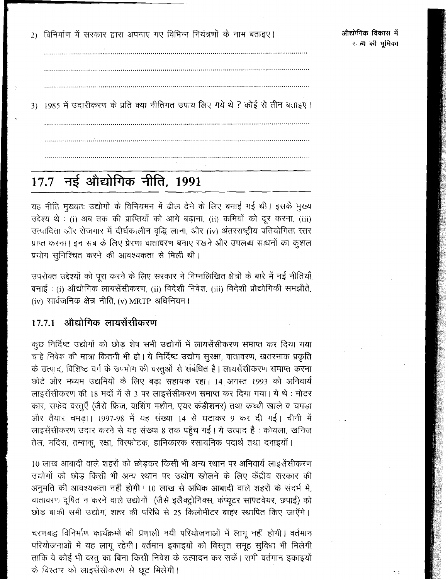2) विनिर्माण में सरकार द्वारा अपनाए गए विभिन्न नियंत्रणों के नाम बताइए।

ð,

3) 1985 में उदारीकरण के प्रति क्या नीतिगत उपाय लिए गये थे ? कोई से तीन बताइए।

# 17.7 नई औद्योगिक नीति, 1991

यह नीति मुख्यतः उद्योगों के विनियमन में ढील देने के लिए बनाई गई थी। इसके मुख्य उद्देश्य थे : (i) अब तक की प्राप्तियों को आगे बढ़ाना, (ii) कमियों को दूर करना, (iii) उत्पादिता और रोजगार में दीर्घकालीन वृद्धि लाना, और (iv) अंतरराष्ट्रीय प्रतियोगिता स्तर प्राप्त करना। इन सब के लिए प्रेरणा वातावरण बनाए रखने और उपलब्ध साधनों का कुशल प्रयोग सुनिश्चित करने की आवश्यकता से मिली थी।

उपरोक्त उद्देश्यों को पूरा करने के लिए सरकार ने निम्नलिखित क्षेत्रों के बारे में नई नीतियाँ बनाई : (i) औद्योगिक लायसेंसीकरण, (ii) विदेशी निवेश, (iii) विदेशी प्रौद्योगिकी समझौते,  $(iv)$  सार्वजनिक क्षेत्र नीति,  $(v)$  MRTP अधिनियम।

#### औद्योगिक लायसेंसीकरण  $17.7.1$

कुछ निर्दिष्ट उद्योगों को छोड़ शेष सभी उद्योगों में लायसेंसीकरण समाप्त कर दिया गया चाहे निवेश की मात्रा कितनी भी हो। ये निर्दिष्ट उद्योग सुरक्षा, वातावरण, खतरनाक प्रकृति के उत्पाद, विशिष्ट वर्ग के उपभोग की वस्तूओं से संबंधित है। लायसेंसीकरण समाप्त करना छोटे और मध्यम उद्यमियों के लिए बड़ा सहायक रहा। 14 अगस्त 1993 को अनिवार्य लाइसेंसीकरण की 18 मदों में से 3 पर लाइसेंसीकरण समाप्त कर दिया गया। ये थे : मोटर कार, सफेद वस्तुएँ (जैसे फ्रिज, वाशिंग मशीन, एयर कंडीशनर) तथा कच्ची खाले व चमड़ा और तैयार चमड़ा। 1997-98 में यह संख्या 14 से घटाकर 9 कर दी गई। चीनी में लाइसेंसीकरण उदार करने से यह संख्या 8 तक पहुँच गई। ये उत्पाद हैं : कोयला, खनिज तेल, मदिरा, तम्बाक, रक्षा, विस्फोटक, हानिकारक रसायनिक पदार्थ तथा दवाइयाँ।

10 लाख आबादी वाले शहरों को छोड़कर किसी भी अन्य स्थान पर अनिवार्य लाइसेंसीकरण उद्योगों को छोड़ किसी भी अन्य स्थान पर उद्योग खोलने के लिए केंद्रीय सरकार की अनुमति की आवश्यकता नहीं होगी। 10 लाख से अधिक आबादी वाले शहरों के संदर्भ में, वातावरण दूषित न करने वाले उद्योगों (जैसे इलैक्ट्रोनिक्स, कंप्यूटर साफ्टवेयर, छपाई) को छोड़ बाकी सभी उद्योग, शहर की परिधि से 25 किलोमीटर बाहर स्थापित किए जाएँगे।

चरणबद्ध विनिर्माण कार्यक्रमों की प्रणाली नयी परियोजनाओं में लागू नहीं होगी। वर्तमान परियोजनाओं में यह लागू रहेगी। वर्तमान इकाइयों को विस्तृत समूह सुविधा भी मिलेगी ताकि वे कोई भी वरत् का बिना किसी निवेश के उत्पादन कर सकें। सभी वर्तमान इकाइयों के विस्तार को लाइसेंसीकरण से छूट मिलेगी।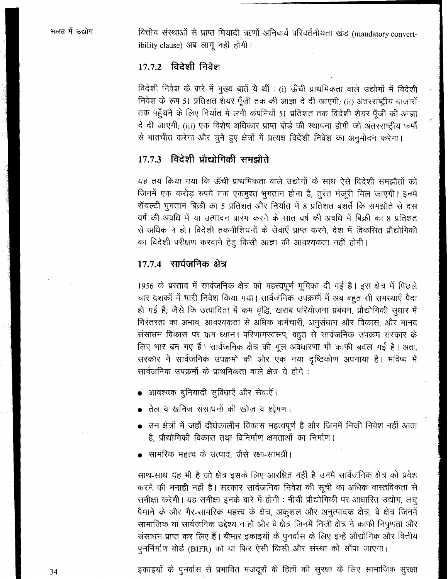वित्तीय संस्थाओं से प्राप्त मियादी ऋणों अनिवार्य परिवर्तनीयता खंड (mandatory convertibility clause) अब लागू नहीं होगी।

### 17.7.2 विदेशी निवेश

विदेशी निवेश के बारे में मुख्य बातें ये थीं : (i) ऊँची प्राथमिकता वाले उद्योगों में विदेशी निवेश के रूप 51 प्रतिशत शेयर पूँजी तक की आज्ञा दे दी जाएगी; (ii) अंतरराष्ट्रीय बाजारों तक पहुँचने के लिए निर्यात में लगी कंपनियों 51 प्रतिशत तक विदेशी शेयर पूँजी की आज्ञा दे दी जाएगी; (iii) एक विशेष अधिकार प्राप्त बोर्ड की स्थापना होगी जो अंतरराष्ट्रीय फर्मों से बातचीत करेगा और चुने हुए क्षेत्रों में प्रत्यक्ष विदेशी निवेश का अनुमोदन करेगा।

### 17.7.3 विदेशी प्रौद्योगिकी समझौते

यह तय किया गया कि ऊँची प्राथमिकता वाले उद्योगों के साथ ऐसे विदेशी समझौतों को जिनमें एक करोड़ रुपये तक एकमुश्त भुगतान होना है, तुरंत मंजूरी मिल जाएगी। इनमें रॉयल्टी भुगतान बिक्री का 5 प्रतिशत और निर्यात में 8 प्रतिशत बशर्ते कि समझौते से दस वर्ष की अवधि में या उत्पादन प्रारंभ करने के सात वर्ष की अवधि में बिक्री का 8 प्रतिशत से अधिक न हो। विदेशी तकनीशियनों के सेवाएँ प्राप्त करने, देश में विकसित प्रौद्योगिकी का विदेशी परीक्षण करवाने हेतु किसी आज्ञा की आवश्यकता नहीं होगी।

#### 17.7.4 सार्वजनिक क्षेत्र

1956 के प्रस्ताव में सार्वजनिक क्षेत्र को महत्त्वपूर्ण भूमिका दी गई है। इस क्षेत्र में पिछले चार दशकों में भारी निवेश किया गया। सार्वजनिक उपक्रमों में अब बहुत सी समस्याएँ पैदा हो गई हैं; जैसे कि उत्पादिता में कम वृद्धि, खराब परियोजना प्रबंधन, प्रौद्योगिकी सुधार में निरंतरता का अभाव, आवश्यकता से अधिक कर्मचारी, अनुसंधान और विकास, और मानव संसाधन विकास पर कम ध्यान। परिणामस्वरूप, बहुत से सार्वजनिक उपक्रम सरकार के लिए भार बन गए हैं। सार्वजनिक क्षेत्र की मूल अवधारणा भी काफी बदल गई है। अतः, सरकार ने सार्वजनिक उपक्रमों की ओर एक नया दृष्टिकोण अपनाया है। भविष्य में सार्वजनिक उपक्रमों के प्राथमिकता वाले क्षेत्र ये होंगे :

- आवश्यक बुनियादी सुविधाएँ और सेवाएँ।
- तेल व खनिज संसाधनों की खोज व शोषण।
- उन क्षेत्रों में जहाँ दीर्घकालीन विकास महत्वपूर्ण है और जिनमें निजी निवेश नहीं आता है. प्रौद्योगिकी विकास तथा विनिर्माण क्षमताओं का निर्माण।
- सामरिक महत्त्व के उत्पाद, जैसे रक्षा-सामग्री।

साथ-साथ यह भी है जो क्षेत्र इसके लिए आरक्षित नहीं है उनमें सार्वजनिक क्षेत्र को प्रवेश करने की मनाही नहीं है। सरकार सार्वजनिक निवेश की सूची का अधिक वास्तविकता से समीक्षा करेगी। यह समीक्षा इनके बारे में होगी : नीची प्रौद्योगिकी पर आधारित उद्योग, लघु पैमाने के और ग़ैर-सामरिक महत्त्व के क्षेत्र, अकुशल और अनुत्पादक क्षेत्र, वे क्षेत्र जिनमें सामाजिक या सार्वजनिक उद्देश्य न हों और वे क्षेत्र जिनमें निजी क्षेत्र ने काफी निपुणता और संसाधन प्राप्त कर लिए हैं। बीमार इकाइयों के पुनर्वास के लिए इन्हें औद्योगिक और वित्तीय पुनर्निर्माण बोर्ड (BIFR) को या फिर ऐसी किसी और संस्था को सौंपा जाएगा।

इकाइयों के पुनर्वास से प्रभावित मजदूरों के हितों की सुरक्षा के लिए सामाजिक सुरक्षा

34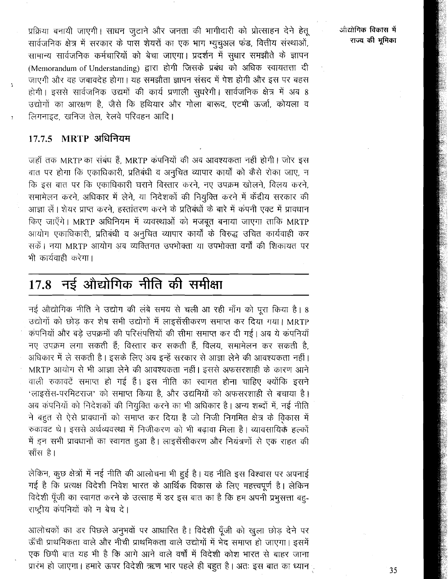प्रक्रिया बनायी जाएगी। साधन जुटाने और जनता की भागीदारी को प्रोत्साहन देने हेतू सार्वजनिक क्षेत्र में सरकार के पास शेयरों का एक भाग म्युचुअल फंड, वित्तीय संस्थाओं, सामान्य सार्वजनिक कर्मचारियों को बेचा जाएगा। प्रदर्शन में सुधार समझौते के ज्ञापन (Memorandum of Understanding) द्वारा होगी जिसके प्रबंध को अधिक स्वायतत्ता दी जाएगी और वह जबावदेह होगा। यह समझौता ज्ञापन संसद में पेश होगी और इस पर बहस होगी। इससे सार्वजनिक उद्यमों की कार्य प्रणाली सुधरेगी। सार्वजनिक क्षेत्र में अब 8 उद्योगों का आरक्षण है, जैसे कि हथियार और गोला बारूद, एटमी ऊर्जा, कोयला व लिगनाइट, खनिज तेल, रेलवे परिवहन आदि।

#### $MRTP$  अधिनियम 17.7.5

जहाँ तक MRTP का संबंध हैं, MRTP कंपनियों की अब आवश्यकता नहीं होगी। जोर इस बात पर होगा कि एकाधिकारी, प्रतिबंधी व अनुचित व्यापार कार्यों को कैसे रोका जाए, न कि इस बात पर कि एकाधिकारी घराने विस्तार करने, नए उपक्रम खोलने, विलय करने, समामेलन करने, अधिकार में लेने, या निदेशकों की नियुक्ति करने में केंद्रीय सरकार की आज्ञा लें। शेयर प्राप्त करने, हस्तांतरण करने के प्रतिबंधों के बारे में कंपनी एक्ट में प्रावधान किए जाएँगे। MRTP अधिनियम में व्यवस्थाओं को मजबूत बनाया जाएगा ताकि MRTP आयोग एकाधिकारी, प्रतिबंधी व अनुचित व्यापार कार्यों के विरुद्ध उचित कार्यवाही कर सकें। नया MRTP आयोग अब व्यक्तिगत उपभोक्ता या उपभोक्ता वर्गों की शिकायत पर भी कार्यवाही करेगा।

#### नई औद्योगिक नीति की समीक्षा 17.8

नई औद्योगिक नीति ने उद्योग की लंबे समय से चली आ रही माँग को पूरा किया है। 8 उद्योगों को छोड़ कर शेष सभी उद्योगों में लाइसेंसीकरण समाप्त कर दिया गया। MRTP कंपनियों और बड़े उपक्रमों की परिसंपत्तियों की सीमा समाप्त कर दी गई। अब ये कंपनियाँ नए उपक्रम लगा सकती हैं; विस्तार कर सकती हैं, विलय, समामेलन कर सकती है, अधिकार में ले सकती है। इसके लिए अब इन्हें सरकार से आज्ञा लेने की आवश्यकता नहीं। MRTP आयोग से भी आज्ञा लेने की आवश्यकता नहीं। इससे अफसरशाही के कारण आने वाली रुकावटें समाप्त हो गई हैं। इस नीति का स्वागत होना चाहिए क्योंकि इसने 'लाइसेंस-परमिटराज' को समाप्त किया है, और उद्यमियों को अफसरशाही से बचाया है। अब कंपनियों को निदेशकों की नियुक्ति करने का भी अधिकार है। अन्य शब्दों में, नई नीति ने बहुत से ऐसे प्रावधानों को समाप्त कर दिया है जो निजी निगमित क्षेत्र के विकास में रुकावट थे। इससे अर्थव्यवस्था में निजीकरण को भी बढावा मिला है। व्यावसायिकै हल्कों में इन सभी प्रावधानों का स्वागत हुआ है। लाइसेंसीकरण और नियंत्रणों से एक राहत की साँस है।

लेकिन, कुछ क्षेत्रों में नई नीति की आलोचना भी हुई है। यह नीति इस विश्वास पर अपनाई गई है कि प्रत्यक्ष विदेशी निवेश भारत के आर्थिक विकास के लिए महत्त्वपूर्ण है। लेकिन विदेशी पूँजी का स्वागत करने के उत्साह में डर इस बात का है कि हम अपनी प्रभुसत्ता बहु-राष्ट्रीय कंपनियों को न बेच दे।

आलोचकों का डर पिछले अनुभवों पर आधारित है। विदेशी पूँजी को खुला छोड़ देने पर ऊँची प्राथमिकता वाले और नीची प्राथमिकता वाले उद्योगों में भेद समाप्त हो जाएगा। इसमें एक छिपी बात यह भी है कि आगे आने वाले वर्षों में विदेशी कोश भारत से बाहर जाना प्रारंभ हो जाएगा। हमारे ऊपर विदेशी ऋण भार पहले ही बहुत है। अतः इस बात का ध्यान<sub>्</sub> आँद्योगिक विकास में राज्य की भूमिका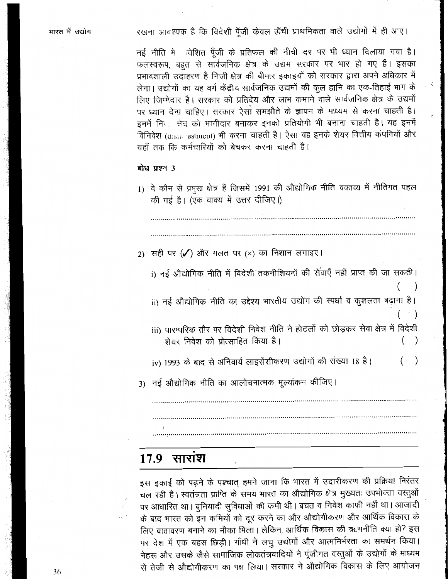रखना आवश्यक है कि विदेशी पूँजी केवल ऊँची प्राथमिकता वाले उद्योगों में ही आए।

नई नीति में विशित पूँजी के प्रतिफल की नीची दर पर भी ध्यान दिलाया गया है। फलस्वरूप, बहुत से सार्वजनिक क्षेत्र के उद्यम सरकार पर भार हो गए हैं। इसका प्रभावशाली उदाहरण है निजी क्षेत्र की बीमार इकाइयों को सरकार द्वारा अपने अधिकार में लेना। उद्योगों का यह वर्ग केंद्रीय सार्वजनिक उद्यमों की कूल हानि का एक-तिहाई भाग के लिए जिम्मेदार है। सरकार को प्रतिदेय और लाभ कमाने वाले सार्वजनिक क्षेत्र के उद्यमों पर ध्यान देना चाहिए। सरकार ऐसा समझौते के ज्ञापन के माध्यम से करना चाहती है। इनमें निता क्षेत्र को भागीदार बनाकर इनको प्रतियोगी भी बनाना चाहती है। यह इनमें विनिवेश (disite restment) भी करना चाहती है। ऐसा वह इनके शेयर वित्तीय कंपनियों और यहाँ तक कि कर्मचारियों को बेचकर करना चाहती है।

#### बोध प्रश्न 3

1) वे कौन से प्रमुख क्षेत्र हैं जिसमें 1991 की औद्योगिक नीति वक्तव्य में नीतिगत पहल की गई है। (एक वाक्य में उत्तर दीजिए।) 2) सही पर ( $\checkmark$ ) और गलत पर (×) का निशान लगाइए। i) नई औद्योगिक नीति में विदेशी तकनीशियनों की सेवाएँ नहीं प्राप्त की जा सकती।  $\mathcal{E}$ ii) नई औद्योगिक नीति का उद्देश्य भारतीय उद्योग की स्पर्धा व कुशलता बढ़ाना है।  $\mathcal{E}$ iii) पारम्परिक तौर पर विदेशी निवेश नीति ने होटलों को छोड़कर सेवा क्षेत्र में विदेशी शेयर निवेश को प्रोत्साहित किया है। iv) 1993 के बाद से अनिवार्य लाइसेंसीकरण उद्योगों की संख्या 18 है।  $\mathcal{E}$ 3) नई औद्योगिक नीति का आलोचनात्मक मूल्यांकन कीजिए।

 $17.9$ साराश

इस इकाई को पढ़ने के पश्चात् हमने जाना कि भारत में उदारीकरण की प्रक्रिया निरंतर चल रही है। स्वतंत्रता प्राप्ति के समय भारत का औद्योगिक क्षेत्र मुख्यतः उपभोक्ता वस्तुओं पर आधारित था। बुनियादी सुविधाओं की कमी थी। बचत व निवेश काफी नहीं था। आजादी के बाद भारत को इन कमियों को दूर करने का और औद्योगीकरण और आर्थिक विकास के लिए वातावरण बनाने का मौका मिला। लेकिन, आर्थिक विकास की ऋणनीति क्या हो? इस पर देश में एक बहस छिड़ी। गाँधी ने लघु उद्योगों और आत्मनिर्भरता का समर्थन किया। नेहरू और उसके जैसे सामाजिक लोकतंत्रवादियों ने पूंजीगत वस्तुओं के उद्योगों के माध्यम से तेजी से औद्योगीकरण का पक्ष लिया। सरकार ने औद्योगिक विकास के लिए आयोजन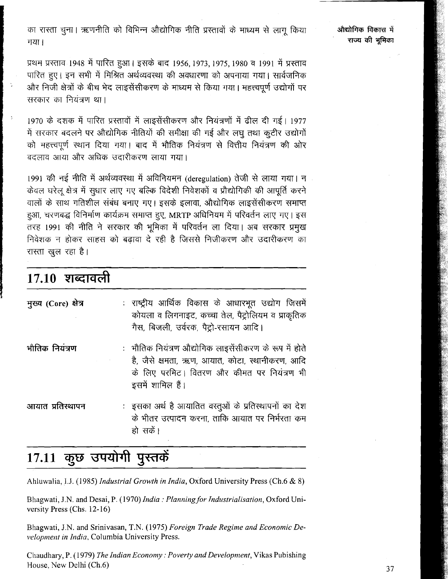का रास्ता चुना। ऋणनीति को विभिन्न औद्योगिक नीति प्रस्तावों के माध्यम से लाग किया गया।

औद्योगिक विकास में राज्य की भमिका

प्रथम प्रस्ताव 1948 में पारित हुआ। इसके बाद 1956, 1973, 1975, 1980 व 1991 में प्रस्ताव पारित हुए | इन सभी में मिश्रित अर्थव्यवस्था की अवधारणा को अपनाया गया | सार्वजनिक और निजी क्षेत्रों के बीच भेद लाइसेंसीकरण के माध्यम से किया गया। महत्त्वपूर्ण उद्योगों पर सरकार का नियंत्रण था।

1970 के दशक में पारित प्रस्तावों में लाइसेंसीकरण और नियंत्रणों में ढील दी गई। 1977 में सरकार बदलने पर औद्योगिक नीतियों की समीक्षा की गई और लघु तथा कुटीर उद्योगों को महत्त्वपूर्ण स्थान दिया गया। बाद में भौतिक नियंत्रण से वित्तीय नियंत्रण की ओर बदलाव आया और अधिक उदारीकरण लाया गया।

1991 की नई नीति में अर्थव्यवस्था में अविनियमन (deregulation) तेजी से लाया गया। न केवल घरेलू क्षेत्र में सुधार लाए गए बल्कि विदेशी निवेशकों व प्रौद्योगिकी की आपूर्ति करने वालों के साथ गतिशील संबंध बनाए गए। इसके इलावा, औद्योगिक लाइसेंसीकरण समाप्त हुआ, चरणबद्ध विनिर्माण कार्यक्रम समाप्त हुए, MRTP अधिनियम में परिवर्तन लाए गए। इस तरह 1991 की नीति ने सरकार की भूमिका में परिवर्तन ला दिया। अब सरकार प्रमुख निवेशक न होकर साहस को बढावा दे रही है जिससे निजीकरण और उदारीकरण का रास्ता खुल रहा है।

### <u> 17.10 शब्दावली</u>

| मुख्य (Core) क्षेत्र | : राष्ट्रीय आर्थिक विकास के आधारभूत उद्योग जिसमें<br>कोयला व लिगनाइट, कच्चा तेल, पैट्रोलियम व प्राकृतिक<br>गैस, बिजली, उर्वरक, पैट्रो-रसायन आदि।                             |
|----------------------|------------------------------------------------------------------------------------------------------------------------------------------------------------------------------|
| भौतिक नियंत्रण       | :   भौतिक नियंत्रण औद्योगिक लाइसेंसीकरण के रूप में होते<br>है, जैसे क्षमता, ऋण, आयात, कोटा, स्थानीकरण, आदि<br>के लिए परमिट। वितरण और कीमत पर नियंत्रण भी<br>इसमें शामिल हैं। |
| आयात प्रतिस्थापन     | :) इसका अर्थ है आयातित वस्तुओं के प्रतिस्थापनों का देश<br>के भीतर उत्पादन करना, ताकि आयात पर निर्भरता कम<br>हो सकें।                                                         |

## 17.11 कुछ उपयोगी पुस्तकें

Ahluwalia, I.J. (1985) Industrial Growth in India, Oxford University Press (Ch.6 & 8)

Bhagwati, J.N. and Desai, P. (1970) India: Planning for Industrialisation, Oxford University Press (Chs. 12-16)

Bhagwati, J.N. and Srinivasan, T.N. (1975) Foreign Trade Regime and Economic Development in India, Columbia University Press.

Chaudhary, P. (1979) The Indian Economy: Poverty and Development, Vikas Pubishing House, New Delhi (Ch.6)